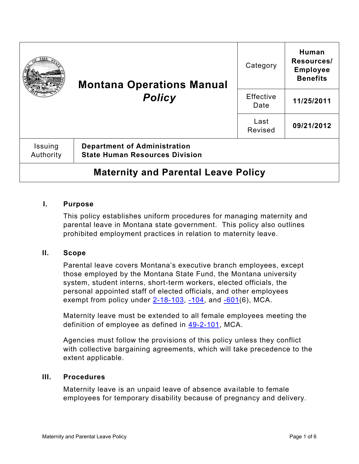|                                            | <b>Montana Operations Manual</b><br><b>Policy</b>                            | Category                 | Human<br>Resources/<br><b>Employee</b><br><b>Benefits</b> |
|--------------------------------------------|------------------------------------------------------------------------------|--------------------------|-----------------------------------------------------------|
|                                            |                                                                              | <b>Effective</b><br>Date | 11/25/2011                                                |
|                                            |                                                                              | Last<br>Revised          | 09/21/2012                                                |
| <b>Issuing</b><br>Authority                | <b>Department of Administration</b><br><b>State Human Resources Division</b> |                          |                                                           |
| <b>Maternity and Parental Leave Policy</b> |                                                                              |                          |                                                           |

### **I. Purpose**

This policy establishes uniform procedures for managing maternity and parental leave in Montana state government. This policy also outlines prohibited employment practices in relation to maternity leave.

#### **II. Scope**

Parental leave covers Montana's executive branch employees, except those employed by the Montana State Fund, the Montana university system, student interns, short-term workers, elected officials, the personal appointed staff of elected officials, and other employees exempt from policy under  $2-18-103$ ,  $-104$ , and  $-601(6)$ , MCA.

Maternity leave must be extended to all female employees meeting the definition of employee as defined in [49-2-101,](https://leg.mt.gov/bills/mca/title_0490/chapter_0020/part_0010/section_0010/0490-0020-0010-0010.html) MCA.

Agencies must follow the provisions of this policy unless they conflict with collective bargaining agreements, which will take precedence to the extent applicable.

#### **III. Procedures**

Maternity leave is an unpaid leave of absence available to female employees for temporary disability because of pregnancy and delivery.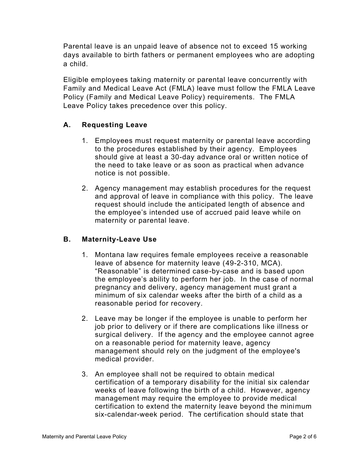Parental leave is an unpaid leave of absence not to exceed 15 working days available to birth fathers or permanent employees who are adopting a child.

Eligible employees taking maternity or parental leave concurrently with Family and Medical Leave Act (FMLA) leave must follow the FMLA Leave Policy (Family and Medical Leave Policy) requirements. The FMLA Leave Policy takes precedence over this policy.

# **A. Requesting Leave**

- 1. Employees must request maternity or parental leave according to the procedures established by their agency. Employees should give at least a 30-day advance oral or written notice of the need to take leave or as soon as practical when advance notice is not possible.
- 2. Agency management may establish procedures for the request and approval of leave in compliance with this policy. The leave request should include the anticipated length of absence and the employee's intended use of accrued paid leave while on maternity or parental leave.

# **B. Maternity-Leave Use**

- 1. Montana law requires female employees receive a reasonable leave of absence for maternity leave [\(49-2-310,](https://leg.mt.gov/bills/mca/title_0490/chapter_0020/part_0030/section_0100/0490-0020-0030-0100.html) MCA). "Reasonable" is determined case-by-case and is based upon the employee's ability to perform her job. In the case of normal pregnancy and delivery, agency management must grant a minimum of six calendar weeks after the birth of a child as a reasonable period for recovery.
- 2. Leave may be longer if the employee is unable to perform her job prior to delivery or if there are complications like illness or surgical delivery. If the agency and the employee cannot agree on a reasonable period for maternity leave, agency management should rely on the judgment of the employee's medical provider.
- 3. An employee shall not be required to obtain medical certification of a temporary disability for the initial six calendar weeks of leave following the birth of a child. However, agency management may require the employee to provide medical certification to extend the maternity leave beyond the minimum six-calendar-week period. The certification should state that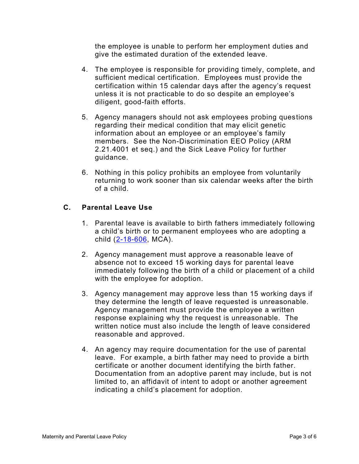the employee is unable to perform her employment duties and give the estimated duration of the extended leave.

- 4. The employee is responsible for providing timely, complete, and sufficient medical certification. Employees must provide the certification within 15 calendar days after the agency's request unless it is not practicable to do so despite an employee's diligent, good-faith efforts.
- 5. Agency managers should not ask employees probing questions regarding their medical condition that may elicit genetic information about an employee or an employee's family members. See the Non-Discrimination EEO Policy (ARM [2.21.4001](http://www.mtrules.org/gateway/RuleNo.asp?RN=2%2E21%2E4001) et seq.) and the [Sick Leave Policy](https://montana.policytech.com/docview/?docid=175) for further guidance.
- 6. Nothing in this policy prohibits an employee from voluntarily returning to work sooner than six calendar weeks after the birth of a child.

# **C. Parental Leave Use**

- 1. Parental leave is available to birth fathers immediately following a child's birth or to permanent employees who are adopting a child [\(2-18-606,](https://leg.mt.gov/bills/mca/title_0020/chapter_0180/part_0060/section_0060/0020-0180-0060-0060.html) MCA).
- 2. Agency management must approve a reasonable leave of absence not to exceed 15 working days for parental leave immediately following the birth of a child or placement of a child with the employee for adoption.
- 3. Agency management may approve less than 15 working days if they determine the length of leave requested is unreasonable. Agency management must provide the employee a written response explaining why the request is unreasonable. The written notice must also include the length of leave considered reasonable and approved.
- 4. An agency may require documentation for the use of parental leave. For example, a birth father may need to provide a birth certificate or another document identifying the birth father. Documentation from an adoptive parent may include, but is not limited to, an affidavit of intent to adopt or another agreement indicating a child's placement for adoption.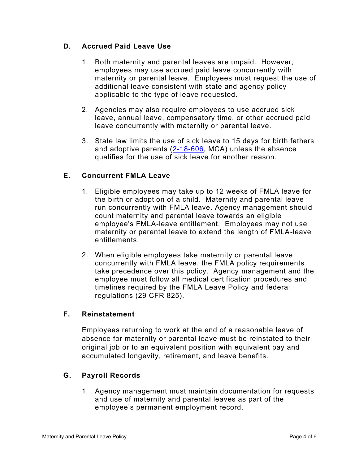# **D. Accrued Paid Leave Use**

- 1. Both maternity and parental leaves are unpaid. However, employees may use accrued paid leave concurrently with maternity or parental leave. Employees must request the use of additional leave consistent with state and agency policy applicable to the type of leave requested.
- 2. Agencies may also require employees to use accrued sick leave, annual leave, compensatory time, or other accrued paid leave concurrently with maternity or parental leave.
- 3. State law limits the use of sick leave to 15 days for birth fathers and adoptive parents [\(2-18-606,](https://leg.mt.gov/bills/mca/title_0020/chapter_0180/part_0060/section_0060/0020-0180-0060-0060.html) MCA) unless the absence qualifies for the use of sick leave for another reason.

### **E. Concurrent FMLA Leave**

- 1. Eligible employees may take up to 12 weeks of FMLA leave for the birth or adoption of a child. Maternity and parental leave run concurrently with FMLA leave. Agency management should count maternity and parental leave towards an eligible employee's FMLA-leave entitlement. Employees may not use maternity or parental leave to extend the length of FMLA-leave entitlements.
- 2. When eligible employees take maternity or parental leave concurrently with FMLA leave, the FMLA policy requirements take precedence over this policy. Agency management and the employee must follow all medical certification procedures and timelines required by the FMLA Leave Policy and federal regulations (29 CFR 825).

### **F. Reinstatement**

Employees returning to work at the end of a reasonable leave of absence for maternity or parental leave must be reinstated to their original job or to an equivalent position with equivalent pay and accumulated longevity, retirement, and leave benefits.

# **G. Payroll Records**

1. Agency management must maintain documentation for requests and use of maternity and parental leaves as part of the employee's permanent employment record.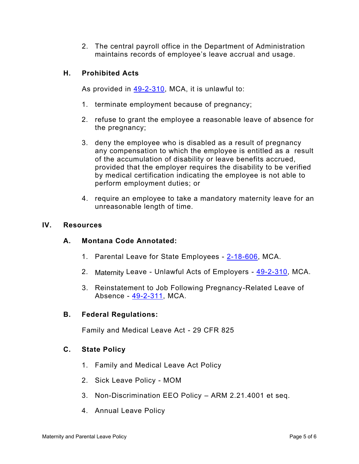2. The central payroll office in the Department of Administration maintains records of employee's leave accrual and usage.

### **H. Prohibited Acts**

As provided in  $49-2-310$ , MCA, it is unlawful to:

- 1. terminate employment because of pregnancy;
- 2. refuse to grant the employee a reasonable leave of absence for the pregnancy;
- 3. deny the employee who is disabled as a result of pregnancy any compensation to which the employee is entitled as a result of the accumulation of disability or leave benefits accrued, provided that the employer requires the disability to be verified by medical certification indicating the employee is not able to perform employment duties; or
- 4. require an employee to take a mandatory maternity leave for an unreasonable length of time.

#### **IV. Resources**

#### **A. Montana Code Annotated:**

- 1. Parental Leave for State Employees [2-18-606,](https://leg.mt.gov/bills/mca/title_0020/chapter_0180/part_0060/section_0060/0020-0180-0060-0060.html) MCA.
- 2. Maternity Leave Unlawful Acts of Employers [49-2-310,](https://leg.mt.gov/bills/mca/title_0490/chapter_0020/part_0030/section_0100/0490-0020-0030-0100.html) MCA.
- 3. Reinstatement to Job Following Pregnancy-Related Leave of Absence - [49-2-311,](https://leg.mt.gov/bills/mca/title_0490/chapter_0020/part_0030/section_0110/0490-0020-0030-0110.html) MCA.

#### **B. Federal Regulations:**

Family and Medical Leave Act - 29 CFR 825

### **C. State Policy**

- 1. Family and Medical Leave Act Policy
- 2. Sick Leave Policy MOM
- 3. Non-Discrimination EEO Policy ARM 2.21.4001 et seq.
- 4. Annual Leave Policy